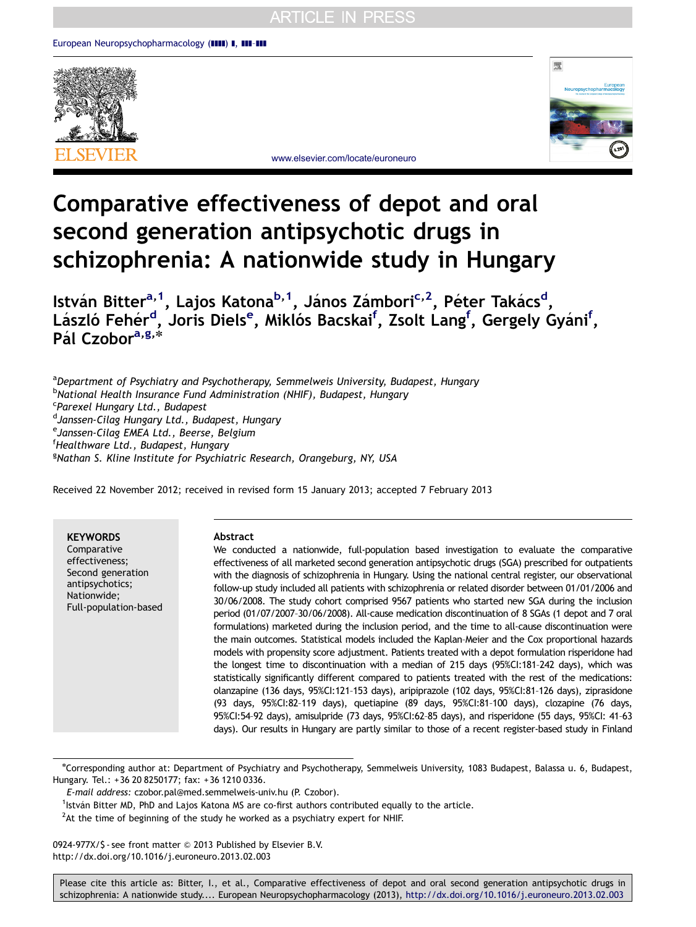



<www.elsevier.com/locate/euroneuro>

# Comparative effectiveness of depot and oral second generation antipsychotic drugs in schizophrenia: A nationwide study in Hungary

István Bitter<sup>a, 1</sup>, Lajos Katona<sup>b, 1</sup>, János Zámbori<sup>c, 2</sup>, Péter Takács<sup>d</sup>, László Fehér<sup>d</sup>, Joris Diels<sup>e</sup>, Miklós Bacskai<sup>f</sup>, Zsolt Lang<sup>f</sup> , Gergely Gyáni<sup>f</sup>, Pál Czobor<sup>a,g,\*</sup>

<sup>a</sup>Department of Psychiatry and Psychotherapy, Semmelweis University, Budapest, Hungary <sup>b</sup>National Health Insurance Fund Administration (NHIF), Budapest, Hungary <sup>c</sup>Parexel Hungary Ltd., Budapest <sup>d</sup>Janssen-Cilag Hungary Ltd., Budapest, Hungary <sup>e</sup>Janssen-Cilag EMEA Ltd., Beerse, Belgium f Healthware Ltd., Budapest, Hungary <sup>g</sup>Nathan S. Kline Institute for Psychiatric Research, Orangeburg, NY, USA

Received 22 November 2012; received in revised form 15 January 2013; accepted 7 February 2013

**KEYWORDS** Comparative effectiveness; Second generation antipsychotics; Nationwide; Full-population-based

#### Abstract

We conducted a nationwide, full-population based investigation to evaluate the comparative effectiveness of all marketed second generation antipsychotic drugs (SGA) prescribed for outpatients with the diagnosis of schizophrenia in Hungary. Using the national central register, our observational follow-up study included all patients with schizophrenia or related disorder between 01/01/2006 and 30/06/2008. The study cohort comprised 9567 patients who started new SGA during the inclusion period (01/07/2007–30/06/2008). All-cause medication discontinuation of 8 SGAs (1 depot and 7 oral formulations) marketed during the inclusion period, and the time to all-cause discontinuation were the main outcomes. Statistical models included the Kaplan–Meier and the Cox proportional hazards models with propensity score adjustment. Patients treated with a depot formulation risperidone had the longest time to discontinuation with a median of 215 days (95%CI:181–242 days), which was statistically significantly different compared to patients treated with the rest of the medications: olanzapine (136 days, 95%CI:121–153 days), aripiprazole (102 days, 95%CI:81–126 days), ziprasidone (93 days, 95%CI:82–119 days), quetiapine (89 days, 95%CI:81–100 days), clozapine (76 days, 95%CI:54–92 days), amisulpride (73 days, 95%CI:62–85 days), and risperidone (55 days, 95%CI: 41–63 days). Our results in Hungary are partly similar to those of a recent register-based study in Finland

E-mail address: [czobor.pal@med.semmelweis-univ.hu \(P. Czobor\).](mailto:czobor.pal@med.semmelweis-univ.hu)

 $<sup>2</sup>$ At the time of beginning of the study he worked as a psychiatry expert for NHIF.</sup>

0924-977X/\$ - see front matter © 2013 Published by Elsevier B.V. [http://dx.doi.org/10.1016/j.euroneuro.2013.02.003](dx.doi.org/10.1016/j.euroneuro.2013.02.003)

n Corresponding author at: Department of Psychiatry and Psychotherapy, Semmelweis University, 1083 Budapest, Balassa u. 6, Budapest, Hungary. Tel.: +36 20 8250177; fax: +36 1210 0336.

<sup>&</sup>lt;sup>1</sup>István Bitter MD, PhD and Lajos Katona MS are co-first authors contributed equally to the article.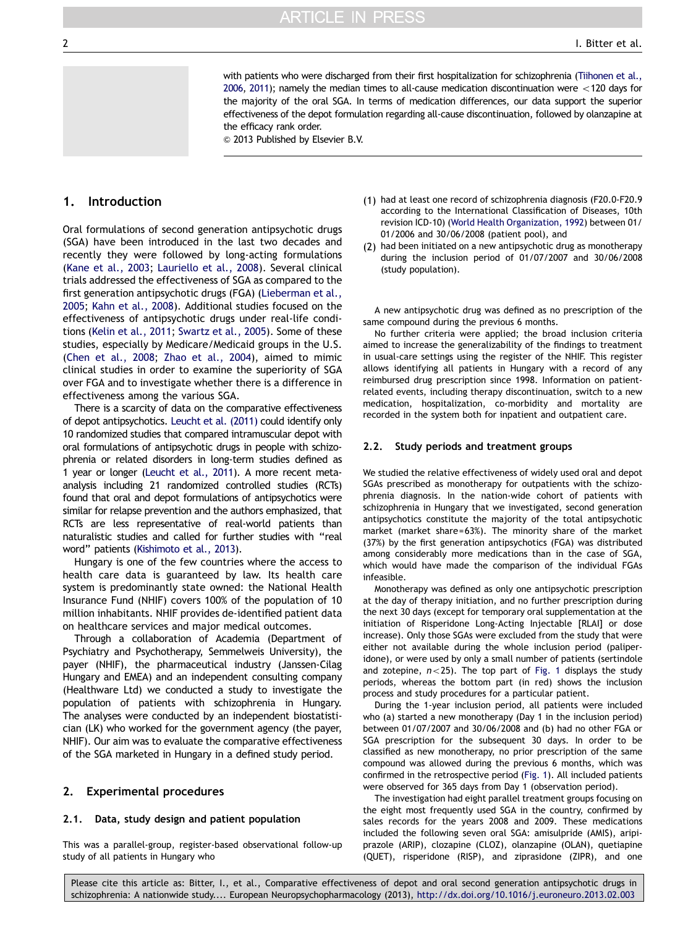with patients who were discharged from their first hospitalization for schizophrenia ([Tiihonen et al.,](#page-7-0) [2006,](#page-7-0) [2011](#page-7-0)); namely the median times to all-cause medication discontinuation were  $<$  120 days for the majority of the oral SGA. In terms of medication differences, our data support the superior effectiveness of the depot formulation regarding all-cause discontinuation, followed by olanzapine at the efficacy rank order.

 $\odot$  2013 Published by Elsevier B.V.

# <span id="page-1-0"></span>1. Introduction

Oral formulations of second generation antipsychotic drugs (SGA) have been introduced in the last two decades and recently they were followed by long-acting formulations [\(Kane et al., 2003](#page-7-0); [Lauriello et al., 2008](#page-7-0)). Several clinical trials addressed the effectiveness of SGA as compared to the first generation antipsychotic drugs (FGA) ([Lieberman et al.,](#page-7-0) [2005](#page-7-0); [Kahn et al., 2008\)](#page-7-0). Additional studies focused on the effectiveness of antipsychotic drugs under real-life conditions ([Kelin et al., 2011;](#page-7-0) [Swartz et al., 2005\)](#page-7-0). Some of these studies, especially by Medicare/Medicaid groups in the U.S. [\(Chen et al., 2008](#page-7-0); [Zhao et al., 2004\)](#page-7-0), aimed to mimic clinical studies in order to examine the superiority of SGA over FGA and to investigate whether there is a difference in effectiveness among the various SGA.

There is a scarcity of data on the comparative effectiveness of depot antipsychotics. [Leucht et al. \(2011\)](#page-7-0) could identify only 10 randomized studies that compared intramuscular depot with oral formulations of antipsychotic drugs in people with schizophrenia or related disorders in long-term studies defined as 1 year or longer [\(Leucht et al., 2011\)](#page-7-0). A more recent metaanalysis including 21 randomized controlled studies (RCTs) found that oral and depot formulations of antipsychotics were similar for relapse prevention and the authors emphasized, that RCTs are less representative of real-world patients than naturalistic studies and called for further studies with ''real word'' patients [\(Kishimoto et al., 2013](#page-7-0)).

Hungary is one of the few countries where the access to health care data is guaranteed by law. Its health care system is predominantly state owned: the National Health Insurance Fund (NHIF) covers 100% of the population of 10 million inhabitants. NHIF provides de-identified patient data on healthcare services and major medical outcomes.

Through a collaboration of Academia (Department of Psychiatry and Psychotherapy, Semmelweis University), the payer (NHIF), the pharmaceutical industry (Janssen-Cilag Hungary and EMEA) and an independent consulting company (Healthware Ltd) we conducted a study to investigate the population of patients with schizophrenia in Hungary. The analyses were conducted by an independent biostatistician (LK) who worked for the government agency (the payer, NHIF). Our aim was to evaluate the comparative effectiveness of the SGA marketed in Hungary in a defined study period.

#### 2. Experimental procedures

#### 2.1. Data, study design and patient population

This was a parallel-group, register-based observational follow-up study of all patients in Hungary who

- (1) had at least one record of schizophrenia diagnosis (F20.0-F20.9 according to the International Classification of Diseases, 10th revision ICD-10) [\(World Health Organization, 1992\)](#page-7-0) between 01/ 01/2006 and 30/06/2008 (patient pool), and
- (2) had been initiated on a new antipsychotic drug as monotherapy during the inclusion period of 01/07/2007 and 30/06/2008 (study population).

A new antipsychotic drug was defined as no prescription of the same compound during the previous 6 months.

No further criteria were applied; the broad inclusion criteria aimed to increase the generalizability of the findings to treatment in usual-care settings using the register of the NHIF. This register allows identifying all patients in Hungary with a record of any reimbursed drug prescription since 1998. Information on patientrelated events, including therapy discontinuation, switch to a new medication, hospitalization, co-morbidity and mortality are recorded in the system both for inpatient and outpatient care.

#### 2.2. Study periods and treatment groups

We studied the relative effectiveness of widely used oral and depot SGAs prescribed as monotherapy for outpatients with the schizophrenia diagnosis. In the nation-wide cohort of patients with schizophrenia in Hungary that we investigated, second generation antipsychotics constitute the majority of the total antipsychotic market (market share=63%). The minority share of the market (37%) by the first generation antipsychotics (FGA) was distributed among considerably more medications than in the case of SGA, which would have made the comparison of the individual FGAs infeasible.

Monotherapy was defined as only one antipsychotic prescription at the day of therapy initiation, and no further prescription during the next 30 days (except for temporary oral supplementation at the initiation of Risperidone Long-Acting Injectable [RLAI] or dose increase). Only those SGAs were excluded from the study that were either not available during the whole inclusion period (paliperidone), or were used by only a small number of patients (sertindole and zotepine,  $n < 25$ ). The top part of [Fig. 1](#page-2-0) displays the study periods, whereas the bottom part (in red) shows the inclusion process and study procedures for a particular patient.

During the 1-year inclusion period, all patients were included who (a) started a new monotherapy (Day 1 in the inclusion period) between 01/07/2007 and 30/06/2008 and (b) had no other FGA or SGA prescription for the subsequent 30 days. In order to be classified as new monotherapy, no prior prescription of the same compound was allowed during the previous 6 months, which was confirmed in the retrospective period ([Fig. 1\)](#page-2-0). All included patients were observed for 365 days from Day 1 (observation period).

The investigation had eight parallel treatment groups focusing on the eight most frequently used SGA in the country, confirmed by sales records for the years 2008 and 2009. These medications included the following seven oral SGA: amisulpride (AMIS), aripiprazole (ARIP), clozapine (CLOZ), olanzapine (OLAN), quetiapine (QUET), risperidone (RISP), and ziprasidone (ZIPR), and one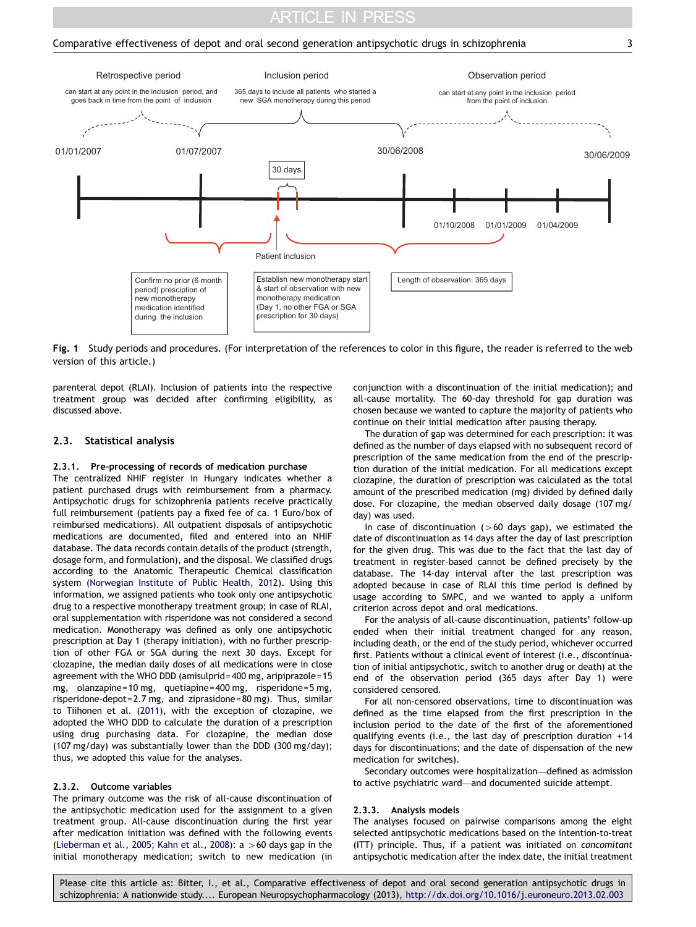# **ARTICLE IN PRESS**

#### <span id="page-2-0"></span>Comparative effectiveness of depot and oral second generation antipsychotic drugs in schizophrenia 3



Fig. 1 Study periods and procedures. (For interpretation of the references to color in this figure, the reader is referred to the web version of this article.)

parenteral depot (RLAI). Inclusion of patients into the respective treatment group was decided after confirming eligibility, as discussed above.

#### 2.3. Statistical analysis

#### 2.3.1. Pre-processing of records of medication purchase

The centralized NHIF register in Hungary indicates whether a patient purchased drugs with reimbursement from a pharmacy. Antipsychotic drugs for schizophrenia patients receive practically full reimbursement (patients pay a fixed fee of ca. 1 Euro/box of reimbursed medications). All outpatient disposals of antipsychotic medications are documented, filed and entered into an NHIF database. The data records contain details of the product (strength, dosage form, and formulation), and the disposal. We classified drugs according to the Anatomic Therapeutic Chemical classification system ([Norwegian Institute of Public Health, 2012\)](#page-7-0). Using this information, we assigned patients who took only one antipsychotic drug to a respective monotherapy treatment group; in case of RLAI, oral supplementation with risperidone was not considered a second medication. Monotherapy was defined as only one antipsychotic prescription at Day 1 (therapy initiation), with no further prescription of other FGA or SGA during the next 30 days. Except for clozapine, the median daily doses of all medications were in close agreement with the WHO DDD (amisulprid=400 mg, aripiprazole= 15 mg, olanzapine=10 mg, quetiapine=400 mg, risperidone=5 mg, risperidone-depot=2.7 mg, and ziprasidone= 80 mg). Thus, similar to Tiihonen et al. [\(2011\)](#page-7-0), with the exception of clozapine, we adopted the WHO DDD to calculate the duration of a prescription using drug purchasing data. For clozapine, the median dose (107 mg/day) was substantially lower than the DDD (300 mg/day); thus, we adopted this value for the analyses.

#### 2.3.2. Outcome variables

The primary outcome was the risk of all-cause discontinuation of the antipsychotic medication used for the assignment to a given treatment group. All-cause discontinuation during the first year after medication initiation was defined with the following events [\(Lieberman et al., 2005;](#page-7-0) [Kahn et al., 2008](#page-7-0)):  $a > 60$  days gap in the initial monotherapy medication; switch to new medication (in conjunction with a discontinuation of the initial medication); and all-cause mortality. The 60-day threshold for gap duration was chosen because we wanted to capture the majority of patients who continue on their initial medication after pausing therapy.

The duration of gap was determined for each prescription: it was defined as the number of days elapsed with no subsequent record of prescription of the same medication from the end of the prescription duration of the initial medication. For all medications except clozapine, the duration of prescription was calculated as the total amount of the prescribed medication (mg) divided by defined daily dose. For clozapine, the median observed daily dosage (107 mg/ day) was used.

In case of discontinuation ( $>60$  days gap), we estimated the date of discontinuation as 14 days after the day of last prescription for the given drug. This was due to the fact that the last day of treatment in register-based cannot be defined precisely by the database. The 14-day interval after the last prescription was adopted because in case of RLAI this time period is defined by usage according to SMPC, and we wanted to apply a uniform criterion across depot and oral medications.

For the analysis of all-cause discontinuation, patients' follow-up ended when their initial treatment changed for any reason, including death, or the end of the study period, whichever occurred first. Patients without a clinical event of interest (i.e., discontinuation of initial antipsychotic, switch to another drug or death) at the end of the observation period (365 days after Day 1) were considered censored.

For all non-censored observations, time to discontinuation was defined as the time elapsed from the first prescription in the inclusion period to the date of the first of the aforementioned qualifying events (i.e., the last day of prescription duration +14 days for discontinuations; and the date of dispensation of the new medication for switches).

Secondary outcomes were hospitalization—defined as admission to active psychiatric ward—and documented suicide attempt.

#### 2.3.3. Analysis models

The analyses focused on pairwise comparisons among the eight selected antipsychotic medications based on the intention-to-treat (ITT) principle. Thus, if a patient was initiated on concomitant antipsychotic medication after the index date, the initial treatment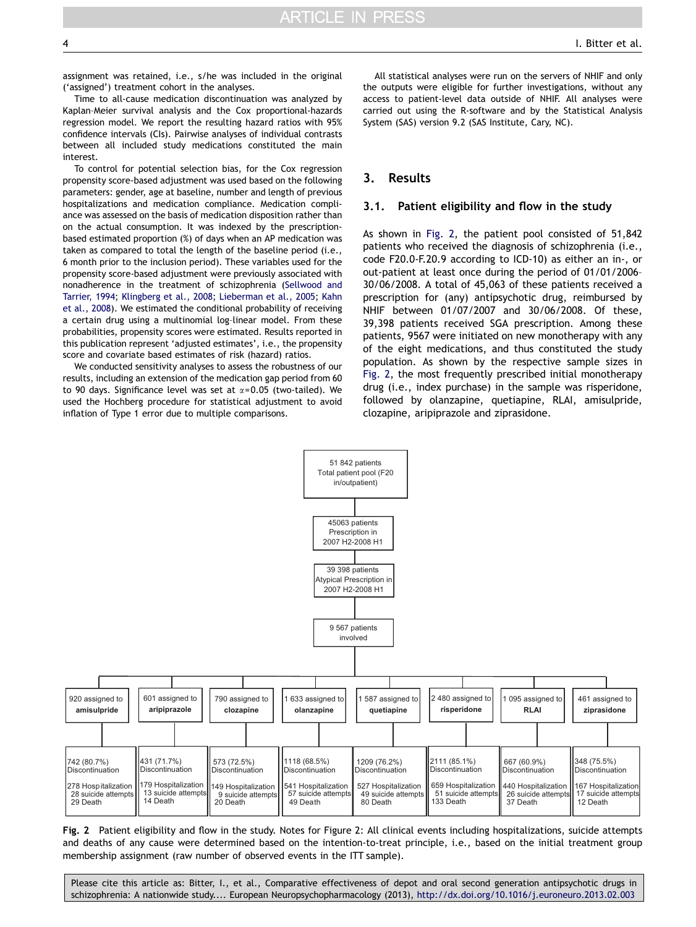<span id="page-3-0"></span>assignment was retained, i.e., s/he was included in the original ('assigned') treatment cohort in the analyses.

Time to all-cause medication discontinuation was analyzed by Kaplan–Meier survival analysis and the Cox proportional-hazards regression model. We report the resulting hazard ratios with 95% confidence intervals (CIs). Pairwise analyses of individual contrasts between all included study medications constituted the main interest.

To control for potential selection bias, for the Cox regression propensity score-based adjustment was used based on the following parameters: gender, age at baseline, number and length of previous hospitalizations and medication compliance. Medication compliance was assessed on the basis of medication disposition rather than on the actual consumption. It was indexed by the prescriptionbased estimated proportion (%) of days when an AP medication was taken as compared to total the length of the baseline period (i.e., 6 month prior to the inclusion period). These variables used for the propensity score-based adjustment were previously associated with nonadherence in the treatment of schizophrenia ([Sellwood and](#page-7-0) [Tarrier, 1994;](#page-7-0) [Klingberg et al., 2008](#page-7-0); [Lieberman et al., 2005;](#page-7-0) [Kahn](#page-7-0) [et al., 2008\)](#page-7-0). We estimated the conditional probability of receiving a certain drug using a multinomial log–linear model. From these probabilities, propensity scores were estimated. Results reported in this publication represent 'adjusted estimates', i.e., the propensity score and covariate based estimates of risk (hazard) ratios.

We conducted sensitivity analyses to assess the robustness of our results, including an extension of the medication gap period from 60 to 90 days. Significance level was set at  $\alpha$ =0.05 (two-tailed). We used the Hochberg procedure for statistical adjustment to avoid inflation of Type 1 error due to multiple comparisons.

All statistical analyses were run on the servers of NHIF and only the outputs were eligible for further investigations, without any access to patient-level data outside of NHIF. All analyses were carried out using the R-software and by the Statistical Analysis System (SAS) version 9.2 (SAS Institute, Cary, NC).

#### 3. Results

#### 3.1. Patient eligibility and flow in the study

As shown in Fig. 2, the patient pool consisted of 51,842 patients who received the diagnosis of schizophrenia (i.e., code F20.0-F.20.9 according to ICD-10) as either an in-, or out-patient at least once during the period of 01/01/2006– 30/06/2008. A total of 45,063 of these patients received a prescription for (any) antipsychotic drug, reimbursed by NHIF between 01/07/2007 and 30/06/2008. Of these, 39,398 patients received SGA prescription. Among these patients, 9567 were initiated on new monotherapy with any of the eight medications, and thus constituted the study population. As shown by the respective sample sizes in Fig. 2, the most frequently prescribed initial monotherapy drug (i.e., index purchase) in the sample was risperidone, followed by olanzapine, quetiapine, RLAI, amisulpride, clozapine, aripiprazole and ziprasidone.



Fig. 2 Patient eligibility and flow in the study. Notes for Figure 2: All clinical events including hospitalizations, suicide attempts and deaths of any cause were determined based on the intention-to-treat principle, i.e., based on the initial treatment group membership assignment (raw number of observed events in the ITT sample).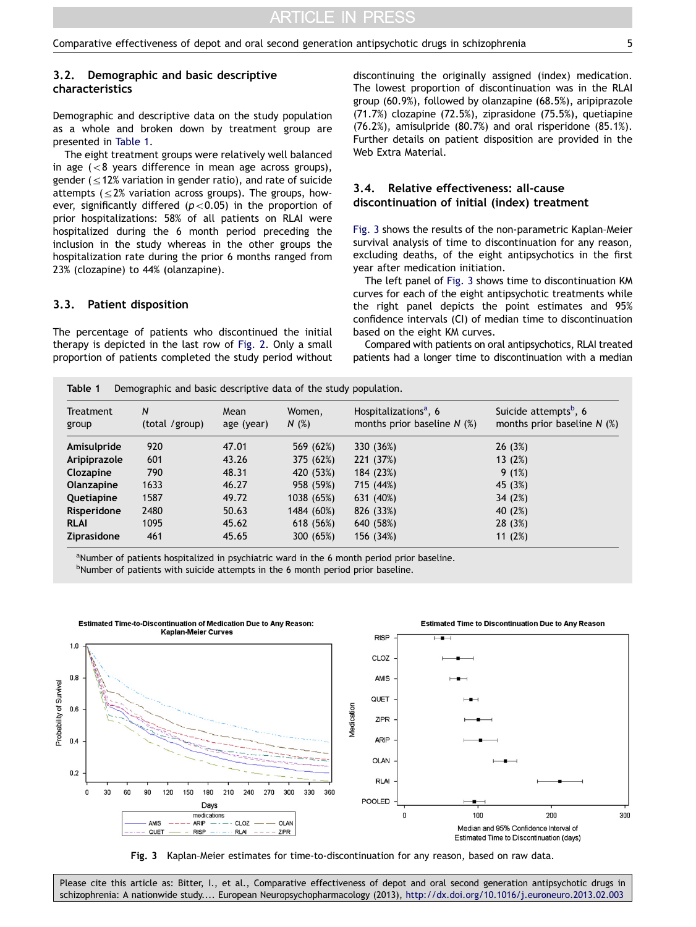# 3.2. Demographic and basic descriptive characteristics

Demographic and descriptive data on the study population as a whole and broken down by treatment group are presented in Table 1.

The eight treatment groups were relatively well balanced in age  $\left( < 8 \right)$  years difference in mean age across groups), gender ( $\leq$ 12% variation in gender ratio), and rate of suicide attempts  $\leq$  2% variation across groups). The groups, however, significantly differed ( $p$ <0.05) in the proportion of prior hospitalizations: 58% of all patients on RLAI were hospitalized during the 6 month period preceding the inclusion in the study whereas in the other groups the hospitalization rate during the prior 6 months ranged from 23% (clozapine) to 44% (olanzapine).

#### 3.3. Patient disposition

The percentage of patients who discontinued the initial therapy is depicted in the last row of [Fig. 2](#page-3-0). Only a small proportion of patients completed the study period without discontinuing the originally assigned (index) medication. The lowest proportion of discontinuation was in the RLAI group (60.9%), followed by olanzapine (68.5%), aripiprazole (71.7%) clozapine (72.5%), ziprasidone (75.5%), quetiapine (76.2%), amisulpride (80.7%) and oral risperidone (85.1%). Further details on patient disposition are provided in the Web Extra Material.

## 3.4. Relative effectiveness: all-cause discontinuation of initial (index) treatment

Fig. 3 shows the results of the non-parametric Kaplan–Meier survival analysis of time to discontinuation for any reason, excluding deaths, of the eight antipsychotics in the first year after medication initiation.

The left panel of Fig. 3 shows time to discontinuation KM curves for each of the eight antipsychotic treatments while the right panel depicts the point estimates and 95% confidence intervals (CI) of median time to discontinuation based on the eight KM curves.

Compared with patients on oral antipsychotics, RLAI treated patients had a longer time to discontinuation with a median

Table 1 Demographic and basic descriptive data of the study population.

| <b>Treatment</b><br>group | N<br>(total /group) | Mean<br>age (year) | Women,<br>N(%) | Hospitalizations <sup>a</sup> , 6<br>months prior baseline $N$ (%) | Suicide attempts <sup>b</sup> , 6<br>months prior baseline $N$ (%) |  |
|---------------------------|---------------------|--------------------|----------------|--------------------------------------------------------------------|--------------------------------------------------------------------|--|
| Amisulpride               | 920                 | 47.01              | 569 (62%)      | 330 (36%)                                                          | 26(3%)                                                             |  |
| Aripiprazole              | 601                 | 43.26              | 375 (62%)      | 221 (37%)                                                          | 13(2%)                                                             |  |
| Clozapine                 | 790                 | 48.31              | 420 (53%)      | 184 (23%)                                                          | 9(1%)                                                              |  |
| Olanzapine                | 1633                | 46.27              | 958 (59%)      | 715 (44%)                                                          | 45 (3%)                                                            |  |
| Quetiapine                | 1587                | 49.72              | 1038 (65%)     | 631 (40%)                                                          | 34 (2%)                                                            |  |
| Risperidone               | 2480                | 50.63              | 1484 (60%)     | 826 (33%)                                                          | 40 (2%)                                                            |  |
| <b>RLAI</b>               | 1095                | 45.62              | 618 (56%)      | 640 (58%)                                                          | 28 (3%)                                                            |  |
| Ziprasidone               | 461                 | 45.65              | 300 (65%)      | 156 (34%)                                                          | 11 $(2%)$                                                          |  |

<sup>a</sup>Number of patients hospitalized in psychiatric ward in the 6 month period prior baseline. <sup>b</sup>Number of patients with suicide attempts in the 6 month period prior baseline.



Fig. 3 Kaplan–Meier estimates for time-to-discontinuation for any reason, based on raw data.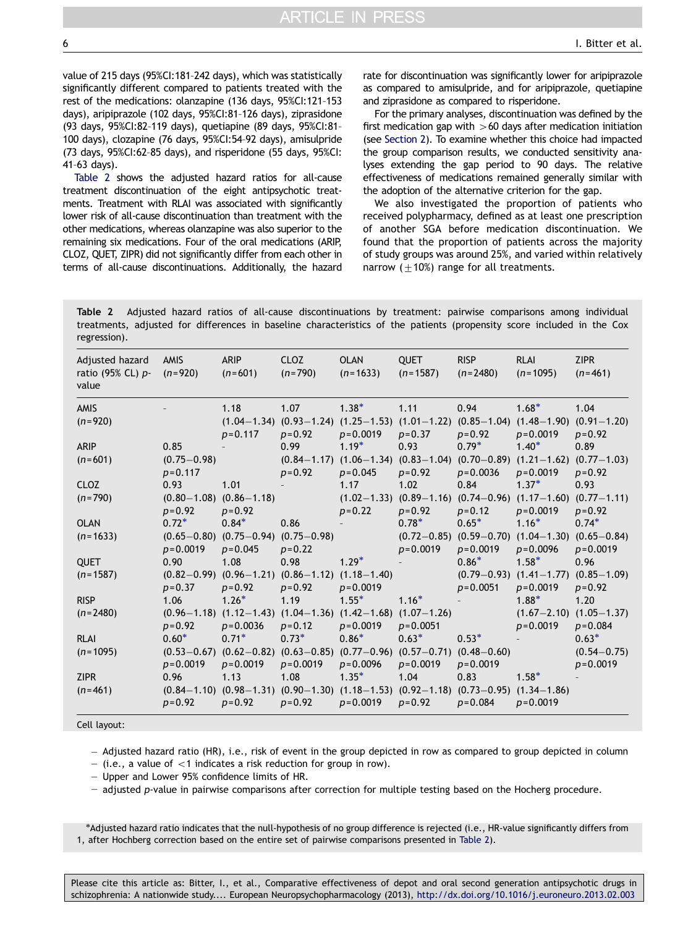value of 215 days (95%CI:181–242 days), which was statistically significantly different compared to patients treated with the rest of the medications: olanzapine (136 days, 95%CI:121–153 days), aripiprazole (102 days, 95%CI:81–126 days), ziprasidone (93 days, 95%CI:82–119 days), quetiapine (89 days, 95%CI:81– 100 days), clozapine (76 days, 95%CI:54–92 days), amisulpride (73 days, 95%CI:62–85 days), and risperidone (55 days, 95%CI: 41–63 days).

Table 2 shows the adjusted hazard ratios for all-cause treatment discontinuation of the eight antipsychotic treatments. Treatment with RLAI was associated with significantly lower risk of all-cause discontinuation than treatment with the other medications, whereas olanzapine was also superior to the remaining six medications. Four of the oral medications (ARIP, CLOZ, QUET, ZIPR) did not significantly differ from each other in terms of all-cause discontinuations. Additionally, the hazard rate for discontinuation was significantly lower for aripiprazole as compared to amisulpride, and for aripiprazole, quetiapine and ziprasidone as compared to risperidone.

For the primary analyses, discontinuation was defined by the first medication gap with  $>60$  days after medication initiation (see [Section 2](#page-1-0)). To examine whether this choice had impacted the group comparison results, we conducted sensitivity analyses extending the gap period to 90 days. The relative effectiveness of medications remained generally similar with the adoption of the alternative criterion for the gap.

We also investigated the proportion of patients who received polypharmacy, defined as at least one prescription of another SGA before medication discontinuation. We found that the proportion of patients across the majority of study groups was around 25%, and varied within relatively narrow ( $\pm$ 10%) range for all treatments.

Table 2 Adjusted hazard ratios of all-cause discontinuations by treatment: pairwise comparisons among individual treatments, adjusted for differences in baseline characteristics of the patients (propensity score included in the Cox regression).

| Adjusted hazard<br>ratio (95% CL) <i>p</i> -<br>value | <b>AMIS</b><br>$(n=920)$      | <b>ARIP</b><br>$(n=601)$                                                                                        | <b>CLOZ</b><br>$(n=790)$ | <b>OLAN</b><br>$(n=1633)$                                                                                         | <b>QUET</b><br>$(n=1587)$ | <b>RISP</b><br>$(n=2480)$ | <b>RLAI</b><br>$(n=1095)$                                                             | <b>ZIPR</b><br>$(n=461)$        |
|-------------------------------------------------------|-------------------------------|-----------------------------------------------------------------------------------------------------------------|--------------------------|-------------------------------------------------------------------------------------------------------------------|---------------------------|---------------------------|---------------------------------------------------------------------------------------|---------------------------------|
| <b>AMIS</b>                                           |                               | 1.18                                                                                                            | 1.07                     | $1.38*$                                                                                                           | 1.11                      | 0.94                      | $1.68*$                                                                               | 1.04                            |
| $(n=920)$                                             |                               | $p = 0.117$                                                                                                     | $p=0.92$                 | $(1.04-1.34)$ $(0.93-1.24)$ $(1.25-1.53)$ $(1.01-1.22)$ $(0.85-1.04)$ $(1.48-1.90)$ $(0.91-1.20)$<br>$p = 0.0019$ | $p = 0.37$                | $p=0.92$                  | $p = 0.0019$                                                                          | $p = 0.92$                      |
| <b>ARIP</b>                                           | 0.85                          |                                                                                                                 | 0.99                     | $1.19*$                                                                                                           | 0.93                      | $0.79*$                   | $1.40*$                                                                               | 0.89                            |
| $(n=601)$                                             | $(0.75 - 0.98)$               |                                                                                                                 |                          | $(0.84-1.17)$ $(1.06-1.34)$ $(0.83-1.04)$ $(0.70-0.89)$ $(1.21-1.62)$ $(0.77-1.03)$                               |                           |                           |                                                                                       |                                 |
|                                                       | $p = 0.117$                   |                                                                                                                 | $p = 0.92$               | $p = 0.045$                                                                                                       | $p = 0.92$                | $p = 0.0036$              | $p = 0.0019$                                                                          | $p = 0.92$                      |
| <b>CLOZ</b>                                           | 0.93                          | 1.01                                                                                                            |                          | 1.17                                                                                                              | 1.02                      | 0.84                      | $1.37*$                                                                               | 0.93                            |
| $(n=790)$                                             | $p = 0.92$                    | $(0.80 - 1.08)$ $(0.86 - 1.18)$<br>$p = 0.92$                                                                   |                          | $p = 0.22$                                                                                                        | $p = 0.92$                | $p = 0.12$                | $(1.02-1.33)$ $(0.89-1.16)$ $(0.74-0.96)$ $(1.17-1.60)$ $(0.77-1.11)$<br>$p = 0.0019$ | $p = 0.92$                      |
| <b>OLAN</b>                                           | $0.72*$                       | $0.84*$                                                                                                         | 0.86                     |                                                                                                                   | $0.78*$                   | $0.65*$                   | $1.16*$                                                                               | $0.74*$                         |
| $(n=1633)$                                            |                               | $(0.65 - 0.80)$ $(0.75 - 0.94)$ $(0.75 - 0.98)$                                                                 |                          |                                                                                                                   |                           |                           | $(0.72-0.85)$ $(0.59-0.70)$ $(1.04-1.30)$ $(0.65-0.84)$                               |                                 |
|                                                       | $p = 0.0019$                  | $p = 0.045$                                                                                                     | $p = 0.22$               |                                                                                                                   | $p = 0.0019$              | $p = 0.0019$              | $p = 0.0096$                                                                          | $p = 0.0019$                    |
| <b>QUET</b>                                           | 0.90                          | 1.08                                                                                                            | 0.98                     | $1.29*$                                                                                                           |                           | $0.86*$                   | $1.58*$                                                                               | 0.96                            |
| $(n=1587)$                                            | $(0.82 - 0.99)$<br>$p = 0.37$ | $p = 0.92$                                                                                                      | $p=0.92$                 | $(0.96 - 1.21)$ $(0.86 - 1.12)$ $(1.18 - 1.40)$<br>$p = 0.0019$                                                   |                           | $p = 0.0051$              | $(0.79 - 0.93)$ $(1.41 - 1.77)$ $(0.85 - 1.09)$<br>$p = 0.0019$                       | $p = 0.92$                      |
| <b>RISP</b>                                           | 1.06                          | $1.26*$                                                                                                         | 1.19                     | $1.55*$                                                                                                           | $1.16*$                   |                           | $1.88*$                                                                               | 1.20                            |
| $(n=2480)$                                            |                               | $(0.96 - 1.18)$ $(1.12 - 1.43)$ $(1.04 - 1.36)$ $(1.42 - 1.68)$ $(1.07 - 1.26)$                                 |                          |                                                                                                                   |                           |                           |                                                                                       | $(1.67 - 2.10)$ $(1.05 - 1.37)$ |
|                                                       | $p = 0.92$                    | $p = 0.0036$                                                                                                    | $p = 0.12$               | $p = 0.0019$                                                                                                      | $p = 0.0051$              |                           | $p = 0.0019$                                                                          | $p = 0.084$                     |
| <b>RLAI</b>                                           | $0.60*$                       | $0.71*$                                                                                                         | $0.73*$                  | $0.86*$                                                                                                           | $0.63*$                   | $0.53*$                   |                                                                                       | $0.63*$                         |
| $(n=1095)$                                            |                               | $(0.53-0.67)$ $(0.62-0.82)$ $(0.63-0.85)$ $(0.77-0.96)$ $(0.57-0.71)$ $(0.48-0.60)$                             |                          |                                                                                                                   |                           |                           |                                                                                       | $(0.54 - 0.75)$                 |
|                                                       | $p = 0.0019$                  | $p = 0.0019$                                                                                                    | $p = 0.0019$             | $p = 0.0096$                                                                                                      | $p = 0.0019$              | $p = 0.0019$              |                                                                                       | $p = 0.0019$                    |
| <b>ZIPR</b>                                           | 0.96                          | 1.13                                                                                                            | 1.08                     | $1.35*$                                                                                                           | 1.04                      | 0.83                      | $1.58*$                                                                               |                                 |
| $(n=461)$                                             | $p = 0.92$                    | $(0.84-1.10)$ $(0.98-1.31)$ $(0.90-1.30)$ $(1.18-1.53)$ $(0.92-1.18)$ $(0.73-0.95)$ $(1.34-1.86)$<br>$p = 0.92$ | $p = 0.92$               | $p = 0.0019$                                                                                                      | $p = 0.92$                | $p = 0.084$               | $p = 0.0019$                                                                          |                                 |

Cell layout:

- Adjusted hazard ratio (HR), i.e., risk of event in the group depicted in row as compared to group depicted in column

 $-$  (i.e., a value of  $<$ 1 indicates a risk reduction for group in row).

- Upper and Lower 95% confidence limits of HR.

- adjusted p-value in pairwise comparisons after correction for multiple testing based on the Hocherg procedure.

n Adjusted hazard ratio indicates that the null-hypothesis of no group difference is rejected (i.e., HR-value significantly differs from 1, after Hochberg correction based on the entire set of pairwise comparisons presented in Table 2).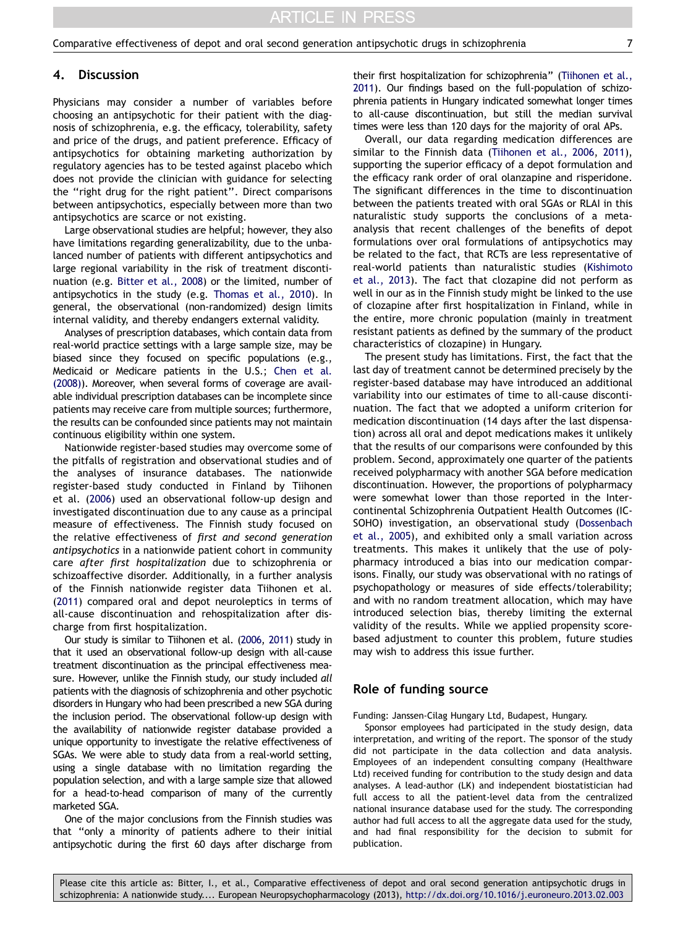#### 4. Discussion

Physicians may consider a number of variables before choosing an antipsychotic for their patient with the diagnosis of schizophrenia, e.g. the efficacy, tolerability, safety and price of the drugs, and patient preference. Efficacy of antipsychotics for obtaining marketing authorization by regulatory agencies has to be tested against placebo which does not provide the clinician with guidance for selecting the ''right drug for the right patient''. Direct comparisons between antipsychotics, especially between more than two antipsychotics are scarce or not existing.

Large observational studies are helpful; however, they also have limitations regarding generalizability, due to the unbalanced number of patients with different antipsychotics and large regional variability in the risk of treatment discontinuation (e.g. [Bitter et al., 2008\)](#page-7-0) or the limited, number of antipsychotics in the study (e.g. [Thomas et al., 2010](#page-7-0)). In general, the observational (non-randomized) design limits internal validity, and thereby endangers external validity.

Analyses of prescription databases, which contain data from real-world practice settings with a large sample size, may be biased since they focused on specific populations (e.g., Medicaid or Medicare patients in the U.S.; [Chen et al.](#page-7-0) [\(2008\)\)](#page-7-0). Moreover, when several forms of coverage are available individual prescription databases can be incomplete since patients may receive care from multiple sources; furthermore, the results can be confounded since patients may not maintain continuous eligibility within one system.

Nationwide register-based studies may overcome some of the pitfalls of registration and observational studies and of the analyses of insurance databases. The nationwide register-based study conducted in Finland by Tiihonen et al. ([2006](#page-7-0)) used an observational follow-up design and investigated discontinuation due to any cause as a principal measure of effectiveness. The Finnish study focused on the relative effectiveness of first and second generation antipsychotics in a nationwide patient cohort in community care after first hospitalization due to schizophrenia or schizoaffective disorder. Additionally, in a further analysis of the Finnish nationwide register data Tiihonen et al. ([2011](#page-7-0)) compared oral and depot neuroleptics in terms of all-cause discontinuation and rehospitalization after discharge from first hospitalization.

Our study is similar to Tiihonen et al. [\(2006,](#page-7-0) [2011\)](#page-7-0) study in that it used an observational follow-up design with all-cause treatment discontinuation as the principal effectiveness measure. However, unlike the Finnish study, our study included all patients with the diagnosis of schizophrenia and other psychotic disorders in Hungary who had been prescribed a new SGA during the inclusion period. The observational follow-up design with the availability of nationwide register database provided a unique opportunity to investigate the relative effectiveness of SGAs. We were able to study data from a real-world setting, using a single database with no limitation regarding the population selection, and with a large sample size that allowed for a head-to-head comparison of many of the currently marketed SGA.

One of the major conclusions from the Finnish studies was that ''only a minority of patients adhere to their initial antipsychotic during the first 60 days after discharge from their first hospitalization for schizophrenia'' ([Tiihonen et al.,](#page-7-0) [2011](#page-7-0)). Our findings based on the full-population of schizophrenia patients in Hungary indicated somewhat longer times to all-cause discontinuation, but still the median survival times were less than 120 days for the majority of oral APs.

Overall, our data regarding medication differences are similar to the Finnish data ([Tiihonen et al., 2006,](#page-7-0) [2011\)](#page-7-0), supporting the superior efficacy of a depot formulation and the efficacy rank order of oral olanzapine and risperidone. The significant differences in the time to discontinuation between the patients treated with oral SGAs or RLAI in this naturalistic study supports the conclusions of a metaanalysis that recent challenges of the benefits of depot formulations over oral formulations of antipsychotics may be related to the fact, that RCTs are less representative of real-world patients than naturalistic studies ([Kishimoto](#page-7-0) [et al., 2013](#page-7-0)). The fact that clozapine did not perform as well in our as in the Finnish study might be linked to the use of clozapine after first hospitalization in Finland, while in the entire, more chronic population (mainly in treatment resistant patients as defined by the summary of the product characteristics of clozapine) in Hungary.

The present study has limitations. First, the fact that the last day of treatment cannot be determined precisely by the register-based database may have introduced an additional variability into our estimates of time to all-cause discontinuation. The fact that we adopted a uniform criterion for medication discontinuation (14 days after the last dispensation) across all oral and depot medications makes it unlikely that the results of our comparisons were confounded by this problem. Second, approximately one quarter of the patients received polypharmacy with another SGA before medication discontinuation. However, the proportions of polypharmacy were somewhat lower than those reported in the Intercontinental Schizophrenia Outpatient Health Outcomes (IC-SOHO) investigation, an observational study ([Dossenbach](#page-7-0) [et al., 2005\)](#page-7-0), and exhibited only a small variation across treatments. This makes it unlikely that the use of polypharmacy introduced a bias into our medication comparisons. Finally, our study was observational with no ratings of psychopathology or measures of side effects/tolerability; and with no random treatment allocation, which may have introduced selection bias, thereby limiting the external validity of the results. While we applied propensity scorebased adjustment to counter this problem, future studies may wish to address this issue further.

# Role of funding source

Funding: Janssen-Cilag Hungary Ltd, Budapest, Hungary.

Sponsor employees had participated in the study design, data interpretation, and writing of the report. The sponsor of the study did not participate in the data collection and data analysis. Employees of an independent consulting company (Healthware Ltd) received funding for contribution to the study design and data analyses. A lead-author (LK) and independent biostatistician had full access to all the patient-level data from the centralized national insurance database used for the study. The corresponding author had full access to all the aggregate data used for the study, and had final responsibility for the decision to submit for publication.